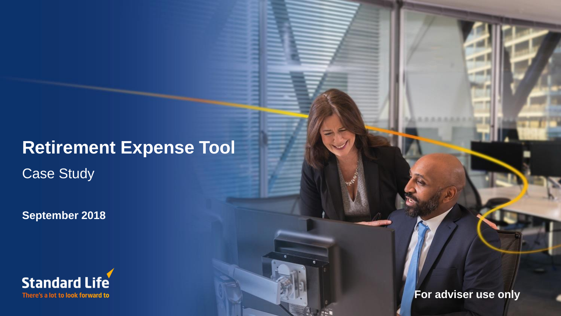# **Retirement Expense Tool**

Case Study

**September 2018**



**For adviser use only**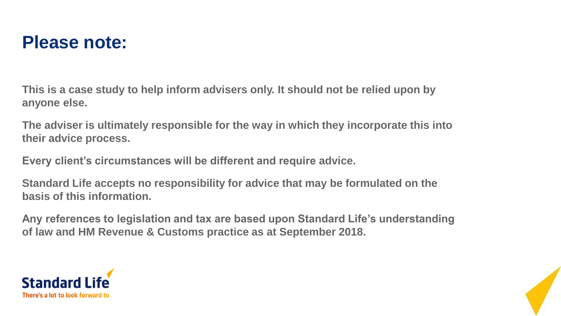

**This is a case study to help inform advisers only. It should not be relied upon by anyone else.**

**The adviser is ultimately responsible for the way in which they incorporate this into their advice process.**

**Every client's circumstances will be different and require advice.**

**Standard Life accepts no responsibility for advice that may be formulated on the basis of this information.**

**Any references to legislation and tax are based upon Standard Life's understanding of law and HM Revenue & Customs practice as at September 2018.**



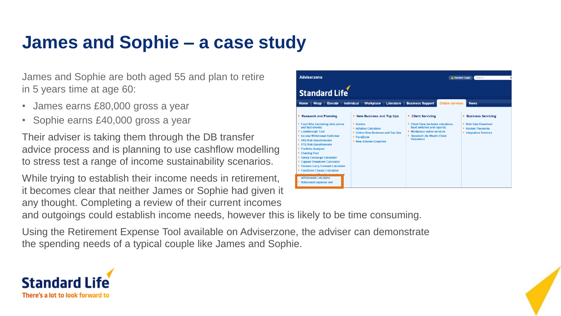#### **James and Sophie – a case study**

James and Sophie are both aged 55 and plan to retire in 5 years time at age 60:

- James earns £80,000 gross a year
- Sophie earns £40,000 gross a year

Their adviser is taking them through the DB transfer advice process and is planning to use cashflow modelling to stress test a range of income sustainability scenarios.

While trying to establish their income needs in retirement, it becomes clear that neither James or Sophie had given it any thought. Completing a review of their current incomes



Adviser login Searc

**Adviserzone** 

and outgoings could establish income needs, however this is likely to be time consuming.

Using the Retirement Expense Tool available on Adviserzone, the adviser can demonstrate the spending needs of a typical couple like James and Sophie.



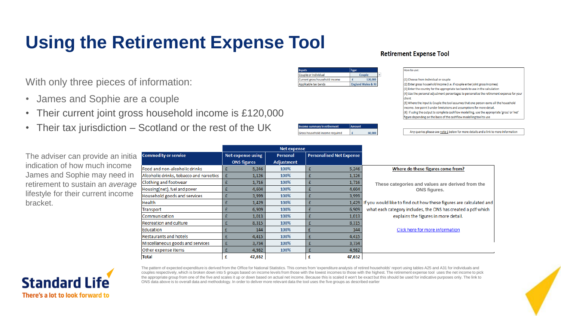## **Using the Retirement Expense Tool**

**Retirement Expense Tool** 

|  | With only three pieces of information: |
|--|----------------------------------------|
|--|----------------------------------------|

- James and Sophie are a couple
- Their current joint gross household income is £120,000
- Their tax jurisdiction Scotland or the rest of the UK

| come summary in retirement |  |
|----------------------------|--|
|                            |  |
|                            |  |

Couple 120,000

**England Wales & NI** 

 $\mathbf{f}$ 

#### How to use: (1) Choose from Individual or couple (2) Enter gross household income (i.e. if couple enter joint gross incomes) (3) Enter the country for the appropriate tax bands to use in the calculation (4) Use the personal adjustment percentages to personalise the retirement expense for your

client (5) Where the input is Couple the tool assumes that one person earns all the household income. See point 5 under limitations and assumptions for more detail (6) if using the output to complete cashflow modelling, use the appropriate 'gross' or 'net' figure depending on the basis of the cashflow modelling tool to use

Any queries please see note 1 below for more details and a link to more information

|                                    |                                         |                    | <b>Net expense</b> |                                 |                                                                          |
|------------------------------------|-----------------------------------------|--------------------|--------------------|---------------------------------|--------------------------------------------------------------------------|
| The adviser can provide an initial | <b>Commodity or service</b>             | Net expense using  | <b>Personal</b>    | <b>Personalised Net Expense</b> |                                                                          |
| indication of how much income      |                                         | <b>ONS figures</b> | <b>Adjustment</b>  |                                 |                                                                          |
|                                    | Food and non-alcoholic drinks           | 5,246              | 100%               | 5,246                           | Where do these figures come from?                                        |
| James and Sophie may need in       | Alcoholic drinks, tobacco and narcotics | 1,126              | 100%               | 1,126                           |                                                                          |
| retirement to sustain an average   | Clothing and footwear                   | 1,716              | 100%               | 1,716                           | These categories and values are derived from the                         |
| lifestyle for their current income | Housing(net), fuel and power            | 4,604              | 100%               | 4,604                           | ONS figures.                                                             |
|                                    | Household goods and services            | 3,999              | 100%               | 3,999                           |                                                                          |
| bracket.                           | Health                                  | 1,429              | 100%               |                                 | 1,429 If you would like to find out how these figures are calculated and |
|                                    | Transport                               | 6,909              | 100%               | 6,909                           | what each category includes, the ONS has created a pdf which             |
|                                    | Communication                           | 1,013              | 100%               | 1,013                           | explains the figures in more detail.                                     |
|                                    | Recreation and culture                  | 8,315              | 100%               | 8,315                           |                                                                          |
|                                    | Education                               | 144                | 100%               | 144                             | Click here for more information                                          |
|                                    | Restaurants and hotels                  | 4,415              | 100%               | 4,415                           |                                                                          |
|                                    | Miscellaneous goods and services        | 3,734              | 100%               | 3,734                           |                                                                          |
|                                    | Other expense items                     | 4,982              | 100%               | 4,982                           |                                                                          |
|                                    | <b>Total</b>                            | 47,632<br>£        |                    | 47,632<br>£                     |                                                                          |
|                                    |                                         |                    |                    |                                 |                                                                          |

**Inputs** Couple or Individual

Current gross household income

**Gross household income required** 

Applicable tax bands



The pattern of expected expenditure is derived from the Office for National Statistics. This comes from 'expenditure analysis of retired households' report using tables A25 and A31 for individuals and couples respectively, which is broken down into 5 groups based on income levels from those with the lowest incomes to those with the highest. The retirement expense tool uses the net income to pick the appropriate group from one of the five and scales it up or down based on actual net income. Because this is scaled it won't be exact but this should be used for indicative purposes only. The link to ONS data above is to overall data and methodology. In order to deliver more relevant data the tool uses the five groups as described earlier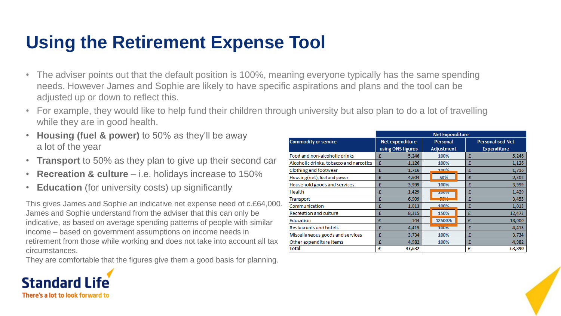#### **Using the Retirement Expense Tool**

- The adviser points out that the default position is 100%, meaning everyone typically has the same spending needs. However James and Sophie are likely to have specific aspirations and plans and the tool can be adjusted up or down to reflect this.
- For example, they would like to help fund their children through university but also plan to do a lot of travelling while they are in good health.
- **Housing (fuel & power)** to 50% as they'll be away a lot of the year
- **Transport** to 50% as they plan to give up their second car
- **Recreation & culture**  i.e. holidays increase to 150%
- **Education** (for university costs) up significantly

This gives James and Sophie an indicative net expense need of c.£64,000. James and Sophie understand from the adviser that this can only be indicative, as based on average spending patterns of people with similar income – based on government assumptions on income needs in retirement from those while working and does not take into account all tax circumstances.

They are comfortable that the figures give them a good basis for planning.



|                                         | <b>Net Expenditure</b> |                   |                         |  |  |  |
|-----------------------------------------|------------------------|-------------------|-------------------------|--|--|--|
| <b>Commodity or service</b>             | <b>Net expenditure</b> | <b>Personal</b>   | <b>Personalised Net</b> |  |  |  |
|                                         | using ONS figures      | <b>Adjustment</b> | <b>Expenditure</b>      |  |  |  |
| Food and non-alcoholic drinks           | 5.246<br>£             | 100%              | 5,246<br>£              |  |  |  |
| Alcoholic drinks, tobacco and narcotics | 1,126<br>£             | 100%              | 1,126<br>£              |  |  |  |
| <b>Clothing and footwear</b>            | £<br>1,716             | 100%              | £<br>1,716              |  |  |  |
| Housing(net), fuel and power            | 4,604<br>£             | 50%               | £<br>2,302              |  |  |  |
| Household goods and services            | 3,999<br>£             | 100%              | 3,999<br>£              |  |  |  |
| <b>Health</b>                           | 1,429<br>£             | 10070             | 1,429<br>£              |  |  |  |
| Transport                               | 6.909<br>£             |                   | 3,455<br>£              |  |  |  |
| Communication                           | 1,013<br>£             | 100%              | £<br>1,013              |  |  |  |
| <b>Recreation and culture</b>           | 8.315<br>£             | 150%              | £<br>12,473             |  |  |  |
| Education                               | £<br>144               | 12500%            | 18,000<br>£             |  |  |  |
| <b>Restaurants and hotels</b>           | 4,415<br>£             | 100%              | 4,415<br>£              |  |  |  |
| Miscellaneous goods and services        | 3,734<br>£             | 100%              | 3,734<br>£              |  |  |  |
| Other expenditure items                 | 4,982<br>£             | 100%              | 4,982<br>£              |  |  |  |
| <b>Total</b>                            | £<br>47,632            |                   | £<br>63,890             |  |  |  |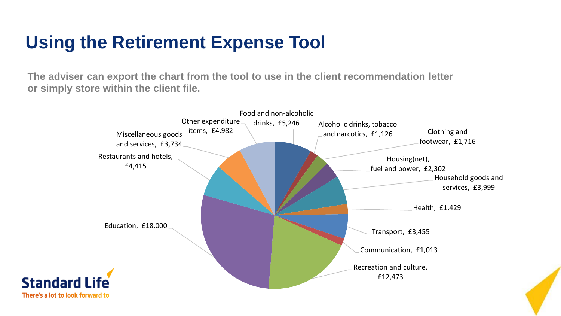#### **Using the Retirement Expense Tool**

**The adviser can export the chart from the tool to use in the client recommendation letter or simply store within the client file.** 

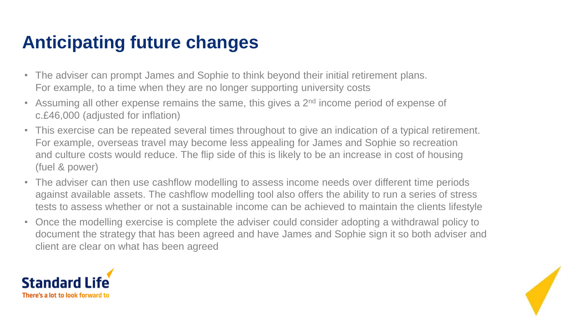### **Anticipating future changes**

- The adviser can prompt James and Sophie to think beyond their initial retirement plans. For example, to a time when they are no longer supporting university costs
- Assuming all other expense remains the same, this gives a  $2<sup>nd</sup>$  income period of expense of c.£46,000 (adjusted for inflation)
- This exercise can be repeated several times throughout to give an indication of a typical retirement. For example, overseas travel may become less appealing for James and Sophie so recreation and culture costs would reduce. The flip side of this is likely to be an increase in cost of housing (fuel & power)
- The adviser can then use cashflow modelling to assess income needs over different time periods against available assets. The cashflow modelling tool also offers the ability to run a series of stress tests to assess whether or not a sustainable income can be achieved to maintain the clients lifestyle
- Once the modelling exercise is complete the adviser could consider adopting a withdrawal policy to document the strategy that has been agreed and have James and Sophie sign it so both adviser and client are clear on what has been agreed